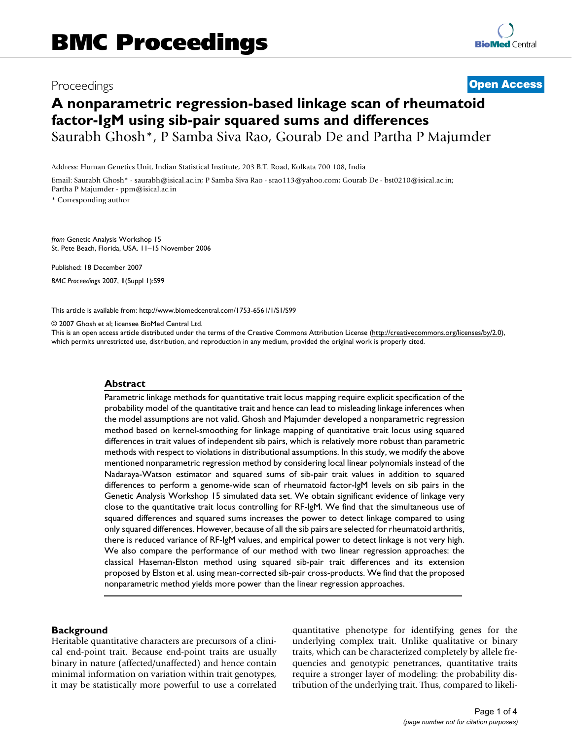## Proceedings **[Open Access](http://www.biomedcentral.com/info/about/charter/)**

# **A nonparametric regression-based linkage scan of rheumatoid factor-IgM using sib-pair squared sums and differences** Saurabh Ghosh\*, P Samba Siva Rao, Gourab De and Partha P Majumder

Address: Human Genetics Unit, Indian Statistical Institute, 203 B.T. Road, Kolkata 700 108, India

Email: Saurabh Ghosh\* - saurabh@isical.ac.in; P Samba Siva Rao - srao113@yahoo.com; Gourab De - bst0210@isical.ac.in; Partha P Majumder - ppm@isical.ac.in

\* Corresponding author

*from* Genetic Analysis Workshop 15 St. Pete Beach, Florida, USA. 11–15 November 2006

Published: 18 December 2007 *BMC Proceedings* 2007, **1**(Suppl 1):S99

[This article is available from: http://www.biomedcentral.com/1753-6561/1/S1/S99](http://www.biomedcentral.com/1753-6561/1/S1/S99)

© 2007 Ghosh et al; licensee BioMed Central Ltd.

This is an open access article distributed under the terms of the Creative Commons Attribution License [\(http://creativecommons.org/licenses/by/2.0\)](http://creativecommons.org/licenses/by/2.0), which permits unrestricted use, distribution, and reproduction in any medium, provided the original work is properly cited.

#### **Abstract**

Parametric linkage methods for quantitative trait locus mapping require explicit specification of the probability model of the quantitative trait and hence can lead to misleading linkage inferences when the model assumptions are not valid. Ghosh and Majumder developed a nonparametric regression method based on kernel-smoothing for linkage mapping of quantitative trait locus using squared differences in trait values of independent sib pairs, which is relatively more robust than parametric methods with respect to violations in distributional assumptions. In this study, we modify the above mentioned nonparametric regression method by considering local linear polynomials instead of the Nadaraya-Watson estimator and squared sums of sib-pair trait values in addition to squared differences to perform a genome-wide scan of rheumatoid factor-IgM levels on sib pairs in the Genetic Analysis Workshop 15 simulated data set. We obtain significant evidence of linkage very close to the quantitative trait locus controlling for RF-IgM. We find that the simultaneous use of squared differences and squared sums increases the power to detect linkage compared to using only squared differences. However, because of all the sib pairs are selected for rheumatoid arthritis, there is reduced variance of RF-IgM values, and empirical power to detect linkage is not very high. We also compare the performance of our method with two linear regression approaches: the classical Haseman-Elston method using squared sib-pair trait differences and its extension proposed by Elston et al. using mean-corrected sib-pair cross-products. We find that the proposed nonparametric method yields more power than the linear regression approaches.

#### **Background**

Heritable quantitative characters are precursors of a clinical end-point trait. Because end-point traits are usually binary in nature (affected/unaffected) and hence contain minimal information on variation within trait genotypes, it may be statistically more powerful to use a correlated quantitative phenotype for identifying genes for the underlying complex trait. Unlike qualitative or binary traits, which can be characterized completely by allele frequencies and genotypic penetrances, quantitative traits require a stronger layer of modeling: the probability distribution of the underlying trait. Thus, compared to likeli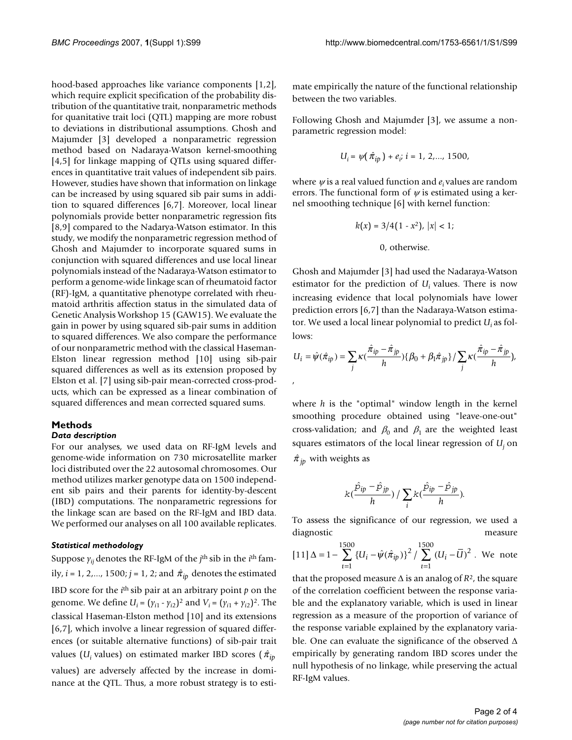hood-based approaches like variance components [1,2], which require explicit specification of the probability distribution of the quantitative trait, nonparametric methods for quanitative trait loci (QTL) mapping are more robust to deviations in distributional assumptions. Ghosh and Majumder [3] developed a nonparametric regression method based on Nadaraya-Watson kernel-smoothing [4,5] for linkage mapping of QTLs using squared differences in quantitative trait values of independent sib pairs. However, studies have shown that information on linkage can be increased by using squared sib pair sums in addition to squared differences [6,7]. Moreover, local linear polynomials provide better nonparametric regression fits [8,9] compared to the Nadarya-Watson estimator. In this study, we modify the nonparametric regression method of Ghosh and Majumder to incorporate squared sums in conjunction with squared differences and use local linear polynomials instead of the Nadaraya-Watson estimator to perform a genome-wide linkage scan of rheumatoid factor (RF)-IgM, a quantitative phenotype correlated with rheumatoid arthritis affection status in the simulated data of Genetic Analysis Workshop 15 (GAW15). We evaluate the gain in power by using squared sib-pair sums in addition to squared differences. We also compare the performance of our nonparametric method with the classical Haseman-Elston linear regression method [10] using sib-pair squared differences as well as its extension proposed by Elston et al. [7] using sib-pair mean-corrected cross-products, which can be expressed as a linear combination of squared differences and mean corrected squared sums.

#### **Methods**

#### *Data description*

For our analyses, we used data on RF-IgM levels and genome-wide information on 730 microsatellite marker loci distributed over the 22 autosomal chromosomes. Our method utilizes marker genotype data on 1500 independent sib pairs and their parents for identity-by-descent (IBD) computations. The nonparametric regressions for the linkage scan are based on the RF-IgM and IBD data. We performed our analyses on all 100 available replicates.

#### *Statistical methodology*

Suppose  $\gamma_{ii}$  denotes the RF-IgM of the *j*<sup>th</sup> sib in the *i*<sup>th</sup> family, *i* = 1, 2,..., 1500; *j* = 1, 2; and  $\hat{\pi}_{ip}$  denotes the estimated IBD score for the  $i<sup>th</sup>$  sib pair at an arbitrary point  $p$  on the genome. We define  $U_i = (\gamma_{i1} - \gamma_{i2})^2$  and  $V_i = (\gamma_{i1} + \gamma_{i2})^2$ . The classical Haseman-Elston method [10] and its extensions [6,7], which involve a linear regression of squared differences (or suitable alternative functions) of sib-pair trait values ( $U_i$  values) on estimated marker IBD scores ( $\hat{\pi}_{ip}$ values) are adversely affected by the increase in dominance at the QTL. Thus, a more robust strategy is to estimate empirically the nature of the functional relationship between the two variables.

Following Ghosh and Majumder [3], we assume a nonparametric regression model:

$$
U_i = \psi(\hat{\pi}_{ip}) + e_i, \, i = 1, \, 2, \dots, \, 1500,
$$

where <sup>ψ</sup> is a real valued function and *ei* values are random errors. The functional form of  $\psi$  is estimated using a kernel smoothing technique [6] with kernel function:

$$
k(x) = 3/4(1 - x^2), |x| < 1;
$$
\n0, otherwise.

Ghosh and Majumder [3] had used the Nadaraya-Watson estimator for the prediction of *Ui* values. There is now increasing evidence that local polynomials have lower prediction errors [6,7] than the Nadaraya-Watson estimator. We used a local linear polynomial to predict *Ui* as follows:

$$
U_i = \hat{\psi}(\hat{\pi}_{ip}) = \sum_j \kappa (\frac{\hat{\pi}_{ip} - \hat{\pi}_{jp}}{h}) \{ \beta_0 + \beta_1 \hat{\pi}_{jp} \} / \sum_j \kappa (\frac{\hat{\pi}_{ip} - \hat{\pi}_{jp}}{h}),
$$

where *h* is the "optimal" window length in the kernel smoothing procedure obtained using "leave-one-out" cross-validation; and  $\beta_0$  and  $\beta_1$  are the weighted least squares estimators of the local linear regression of *Uj* on  $\hat{\pi}_{jp}$  with weights as

$$
k(\frac{\hat{p}_{ip} - \hat{p}_{jp}}{h}) / \sum_i k(\frac{\hat{p}_{ip} - \hat{p}_{jp}}{h}).
$$

To assess the significance of our regression, we used a diagnostic measure

$$
[11]\,\Delta = 1 - \sum_{i=1}^{1500} \{U_i - \hat{\psi}(\hat{\pi}_{ip})\}^2 / \sum_{i=1}^{1500} (U_i - \bar{U})^2
$$
. We note

that the proposed measure  $\Delta$  is an analog of  $R^2$ , the square of the correlation coefficient between the response variable and the explanatory variable, which is used in linear regression as a measure of the proportion of variance of the response variable explained by the explanatory variable. One can evaluate the significance of the observed  $\Delta$ empirically by generating random IBD scores under the null hypothesis of no linkage, while preserving the actual RF-IgM values.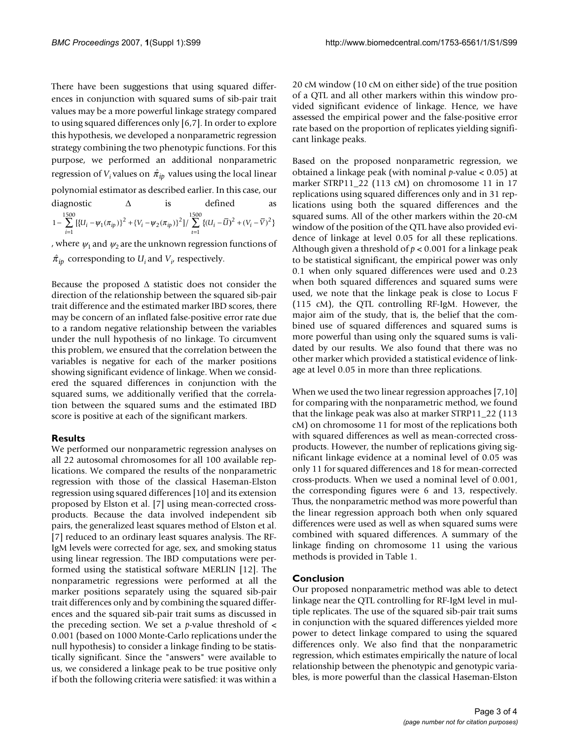There have been suggestions that using squared differences in conjunction with squared sums of sib-pair trait values may be a more powerful linkage strategy compared to using squared differences only [6,7]. In order to explore this hypothesis, we developed a nonparametric regression strategy combining the two phenotypic functions. For this purpose, we performed an additional nonparametric regression of  $V_i$  values on  $\hat{\pi}_{ip}$  values using the local linear polynomial estimator as described earlier. In this case, our diagnostic  $\Delta$  is defined 1 1  $-\sum_{i=1}^{1500}$   $\left[\left\{U_i - \psi_1(\pi_{in})\right\}^2 + \left\{V_i - \psi_2(\pi_{in})\right\}^2\right] / \sum_{i=1}^{1500}$  $\sum_{i=1} [ \{ U_i - \psi_1(\pi_{ip}) \}^2 + \{ V_i - \psi_2(\pi_{ip}) \}^2 ] / \sum_{i=1} \{ (U_i - \overline{U}_i) \}^2$  $\sum_{i=1}^{1500} \{ (U_i - \overline{U})^2 + (V_i - \overline{V})^2 \}$ 

, where  $\psi_1$  and  $\psi_2$  are the unknown regression functions of  $\hat{\pi}_{ip}$  corresponding to  $U_i$  and  $V_i$ , respectively.

Because the proposed  $\Delta$  statistic does not consider the direction of the relationship between the squared sib-pair trait difference and the estimated marker IBD scores, there may be concern of an inflated false-positive error rate due to a random negative relationship between the variables under the null hypothesis of no linkage. To circumvent this problem, we ensured that the correlation between the variables is negative for each of the marker positions showing significant evidence of linkage. When we considered the squared differences in conjunction with the squared sums, we additionally verified that the correlation between the squared sums and the estimated IBD score is positive at each of the significant markers.

## **Results**

We performed our nonparametric regression analyses on all 22 autosomal chromosomes for all 100 available replications. We compared the results of the nonparametric regression with those of the classical Haseman-Elston regression using squared differences [10] and its extension proposed by Elston et al. [7] using mean-corrected crossproducts. Because the data involved independent sib pairs, the generalized least squares method of Elston et al. [7] reduced to an ordinary least squares analysis. The RF-IgM levels were corrected for age, sex, and smoking status using linear regression. The IBD computations were performed using the statistical software MERLIN [12]. The nonparametric regressions were performed at all the marker positions separately using the squared sib-pair trait differences only and by combining the squared differences and the squared sib-pair trait sums as discussed in the preceding section. We set a  $p$ -value threshold of  $\lt$ 0.001 (based on 1000 Monte-Carlo replications under the null hypothesis) to consider a linkage finding to be statistically significant. Since the "answers" were available to us, we considered a linkage peak to be true positive only if both the following criteria were satisfied: it was within a 20 cM window (10 cM on either side) of the true position of a QTL and all other markers within this window provided significant evidence of linkage. Hence, we have assessed the empirical power and the false-positive error rate based on the proportion of replicates yielding significant linkage peaks.

Based on the proposed nonparametric regression, we obtained a linkage peak (with nominal *p*-value < 0.05) at marker STRP11\_22 (113 cM) on chromosome 11 in 17 replications using squared differences only and in 31 replications using both the squared differences and the squared sums. All of the other markers within the 20-cM window of the position of the QTL have also provided evidence of linkage at level 0.05 for all these replications. Although given a threshold of *p* < 0.001 for a linkage peak to be statistical significant, the empirical power was only 0.1 when only squared differences were used and 0.23 when both squared differences and squared sums were used, we note that the linkage peak is close to Locus F (115 cM), the QTL controlling RF-IgM. However, the major aim of the study, that is, the belief that the combined use of squared differences and squared sums is more powerful than using only the squared sums is validated by our results. We also found that there was no other marker which provided a statistical evidence of linkage at level 0.05 in more than three replications.

When we used the two linear regression approaches [7,10] for comparing with the nonparametric method, we found that the linkage peak was also at marker STRP11\_22 (113 cM) on chromosome 11 for most of the replications both with squared differences as well as mean-corrected crossproducts. However, the number of replications giving significant linkage evidence at a nominal level of 0.05 was only 11 for squared differences and 18 for mean-corrected cross-products. When we used a nominal level of 0.001, the corresponding figures were 6 and 13, respectively. Thus, the nonparametric method was more powerful than the linear regression approach both when only squared differences were used as well as when squared sums were combined with squared differences. A summary of the linkage finding on chromosome 11 using the various methods is provided in Table 1.

## **Conclusion**

Our proposed nonparametric method was able to detect linkage near the QTL controlling for RF-IgM level in multiple replicates. The use of the squared sib-pair trait sums in conjunction with the squared differences yielded more power to detect linkage compared to using the squared differences only. We also find that the nonparametric regression, which estimates empirically the nature of local relationship between the phenotypic and genotypic variables, is more powerful than the classical Haseman-Elston